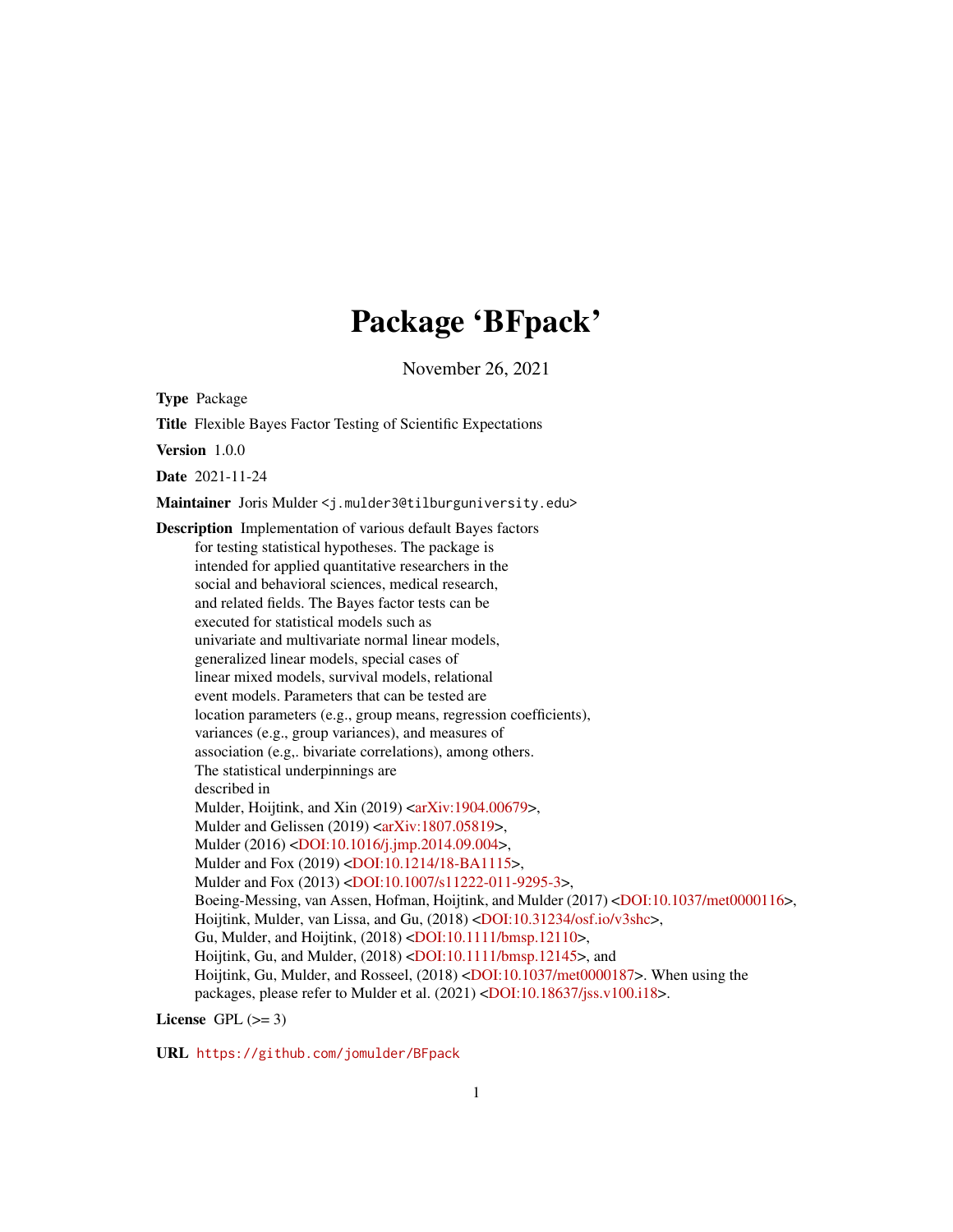# Package 'BFpack'

November 26, 2021

<span id="page-0-0"></span>Type Package

Title Flexible Bayes Factor Testing of Scientific Expectations

Version 1.0.0

Date 2021-11-24

Maintainer Joris Mulder <j.mulder3@tilburguniversity.edu>

Description Implementation of various default Bayes factors for testing statistical hypotheses. The package is intended for applied quantitative researchers in the social and behavioral sciences, medical research, and related fields. The Bayes factor tests can be executed for statistical models such as univariate and multivariate normal linear models, generalized linear models, special cases of linear mixed models, survival models, relational event models. Parameters that can be tested are location parameters (e.g., group means, regression coefficients), variances (e.g., group variances), and measures of association (e.g,. bivariate correlations), among others. The statistical underpinnings are described in Mulder, Hoijtink, and Xin (2019) [<arXiv:1904.00679>](https://arxiv.org/abs/1904.00679), Mulder and Gelissen (2019) [<arXiv:1807.05819>](https://arxiv.org/abs/1807.05819), Mulder (2016) [<DOI:10.1016/j.jmp.2014.09.004>](https://doi.org/10.1016/j.jmp.2014.09.004), Mulder and Fox (2019) [<DOI:10.1214/18-BA1115>](https://doi.org/10.1214/18-BA1115), Mulder and Fox (2013) [<DOI:10.1007/s11222-011-9295-3>](https://doi.org/10.1007/s11222-011-9295-3), Boeing-Messing, van Assen, Hofman, Hoijtink, and Mulder (2017) [<DOI:10.1037/met0000116>](https://doi.org/10.1037/met0000116), Hoijtink, Mulder, van Lissa, and Gu, (2018) [<DOI:10.31234/osf.io/v3shc>](https://doi.org/10.31234/osf.io/v3shc), Gu, Mulder, and Hoijtink, (2018) [<DOI:10.1111/bmsp.12110>](https://doi.org/10.1111/bmsp.12110), Hoijtink, Gu, and Mulder, (2018) [<DOI:10.1111/bmsp.12145>](https://doi.org/10.1111/bmsp.12145), and Hoijtink, Gu, Mulder, and Rosseel, (2018) [<DOI:10.1037/met0000187>](https://doi.org/10.1037/met0000187). When using the packages, please refer to Mulder et al. (2021) [<DOI:10.18637/jss.v100.i18>](https://doi.org/10.18637/jss.v100.i18).

License GPL  $(>= 3)$ 

URL <https://github.com/jomulder/BFpack>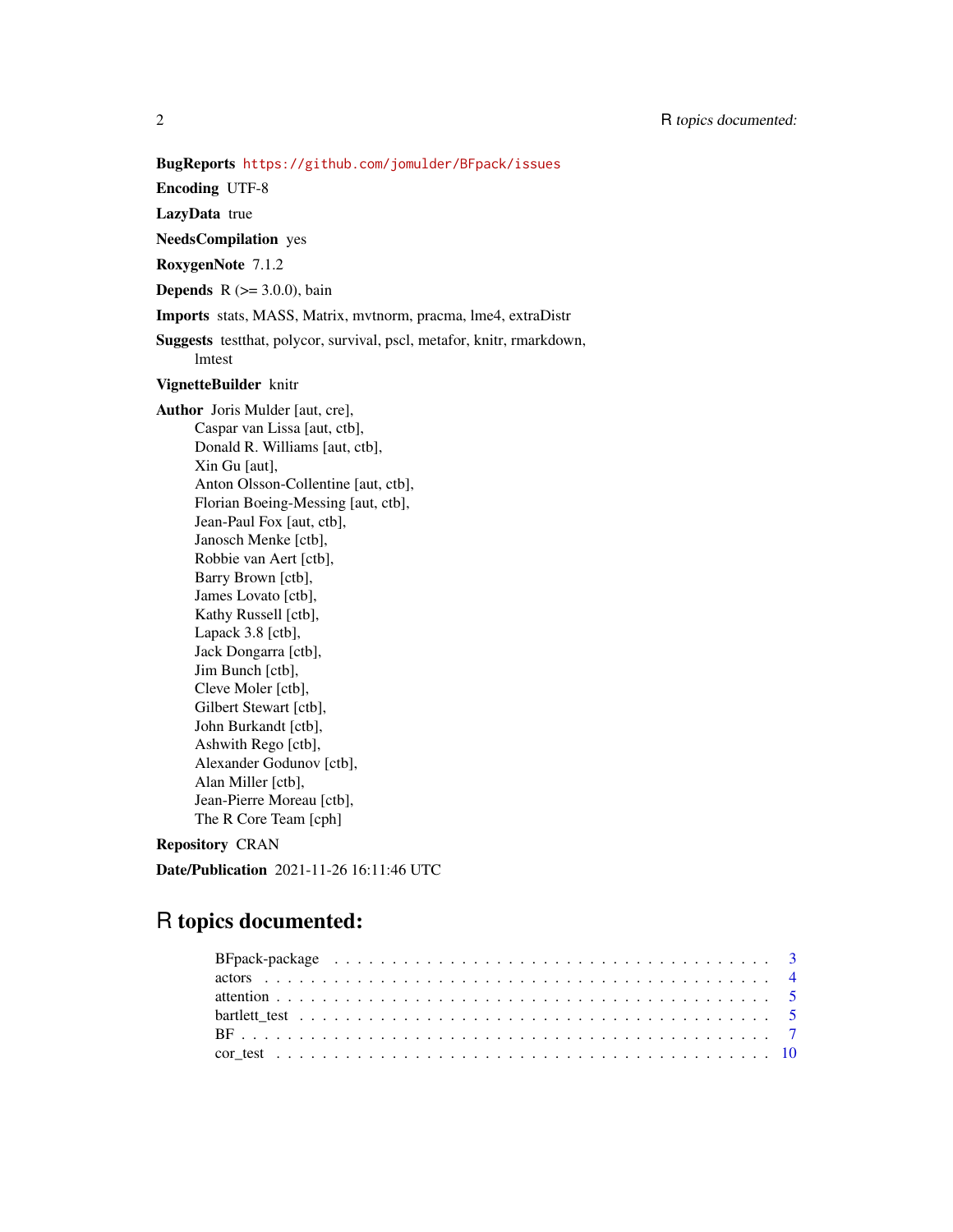Encoding UTF-8

LazyData true

NeedsCompilation yes

RoxygenNote 7.1.2

**Depends** R  $(>= 3.0.0)$ , bain

Imports stats, MASS, Matrix, mvtnorm, pracma, lme4, extraDistr

Suggests testthat, polycor, survival, pscl, metafor, knitr, rmarkdown, lmtest

# VignetteBuilder knitr

Author Joris Mulder [aut, cre], Caspar van Lissa [aut, ctb], Donald R. Williams [aut, ctb], Xin Gu [aut], Anton Olsson-Collentine [aut, ctb], Florian Boeing-Messing [aut, ctb], Jean-Paul Fox [aut, ctb], Janosch Menke [ctb], Robbie van Aert [ctb], Barry Brown [ctb], James Lovato [ctb], Kathy Russell [ctb], Lapack 3.8 [ctb], Jack Dongarra [ctb], Jim Bunch [ctb], Cleve Moler [ctb], Gilbert Stewart [ctb], John Burkandt [ctb], Ashwith Rego [ctb], Alexander Godunov [ctb], Alan Miller [ctb], Jean-Pierre Moreau [ctb], The R Core Team [cph]

# Repository CRAN

Date/Publication 2021-11-26 16:11:46 UTC

# R topics documented: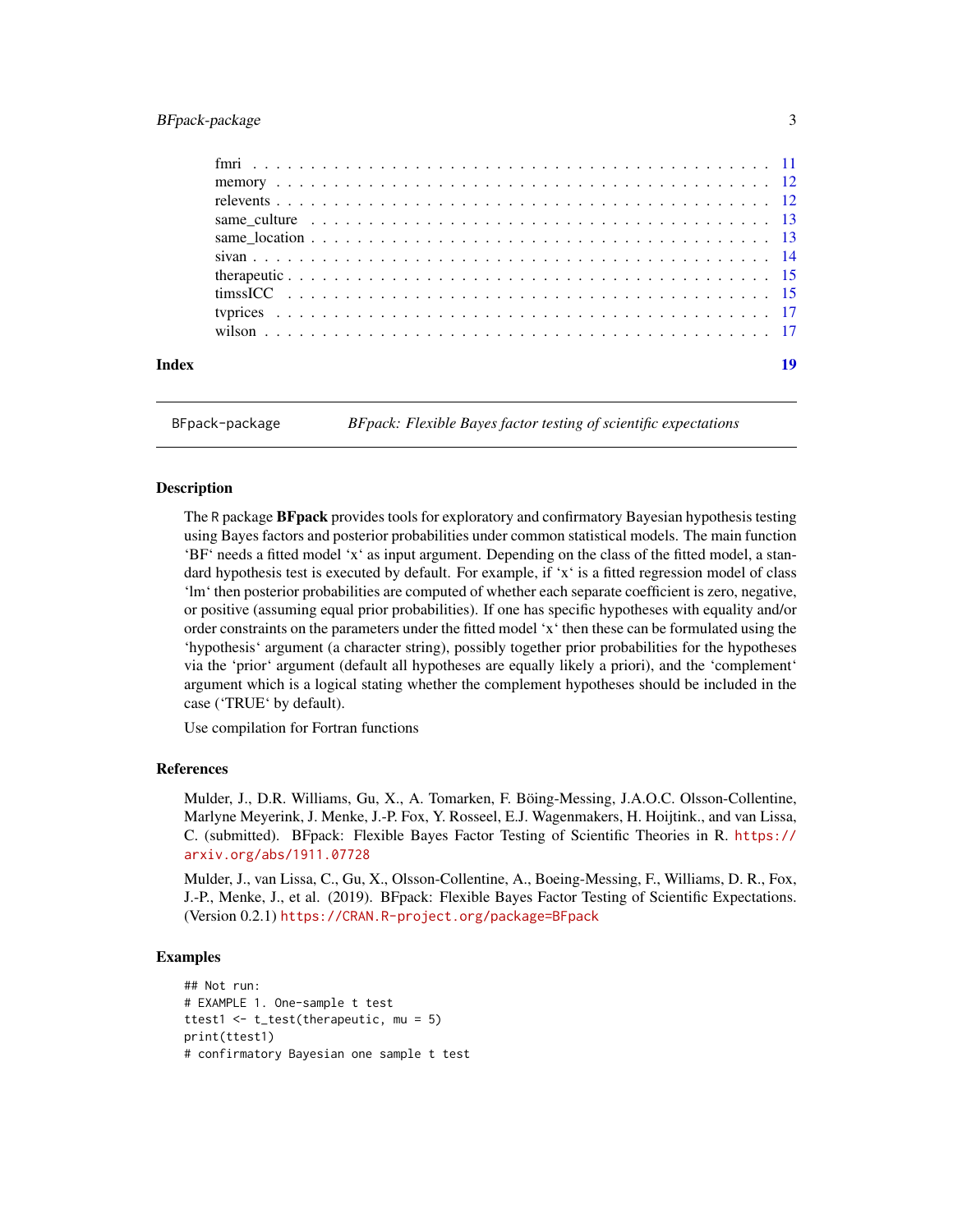# <span id="page-2-0"></span>BFpack-package 3

| Index | 19 |
|-------|----|

BFpack-package *BFpack: Flexible Bayes factor testing of scientific expectations*

# Description

The R package **BF pack** provides tools for exploratory and confirmatory Bayesian hypothesis testing using Bayes factors and posterior probabilities under common statistical models. The main function 'BF' needs a fitted model 'x' as input argument. Depending on the class of the fitted model, a standard hypothesis test is executed by default. For example, if 'x' is a fitted regression model of class 'lm' then posterior probabilities are computed of whether each separate coefficient is zero, negative, or positive (assuming equal prior probabilities). If one has specific hypotheses with equality and/or order constraints on the parameters under the fitted model 'x' then these can be formulated using the 'hypothesis' argument (a character string), possibly together prior probabilities for the hypotheses via the 'prior' argument (default all hypotheses are equally likely a priori), and the 'complement' argument which is a logical stating whether the complement hypotheses should be included in the case ('TRUE' by default).

Use compilation for Fortran functions

# References

Mulder, J., D.R. Williams, Gu, X., A. Tomarken, F. Böing-Messing, J.A.O.C. Olsson-Collentine, Marlyne Meyerink, J. Menke, J.-P. Fox, Y. Rosseel, E.J. Wagenmakers, H. Hoijtink., and van Lissa, C. (submitted). BFpack: Flexible Bayes Factor Testing of Scientific Theories in R. [https://](https://arxiv.org/abs/1911.07728) [arxiv.org/abs/1911.07728](https://arxiv.org/abs/1911.07728)

Mulder, J., van Lissa, C., Gu, X., Olsson-Collentine, A., Boeing-Messing, F., Williams, D. R., Fox, J.-P., Menke, J., et al. (2019). BFpack: Flexible Bayes Factor Testing of Scientific Expectations. (Version 0.2.1) <https://CRAN.R-project.org/package=BFpack>

# Examples

```
## Not run:
# EXAMPLE 1. One-sample t test
ttest1 <- t_test(therapeutic, mu = 5)
print(ttest1)
# confirmatory Bayesian one sample t test
```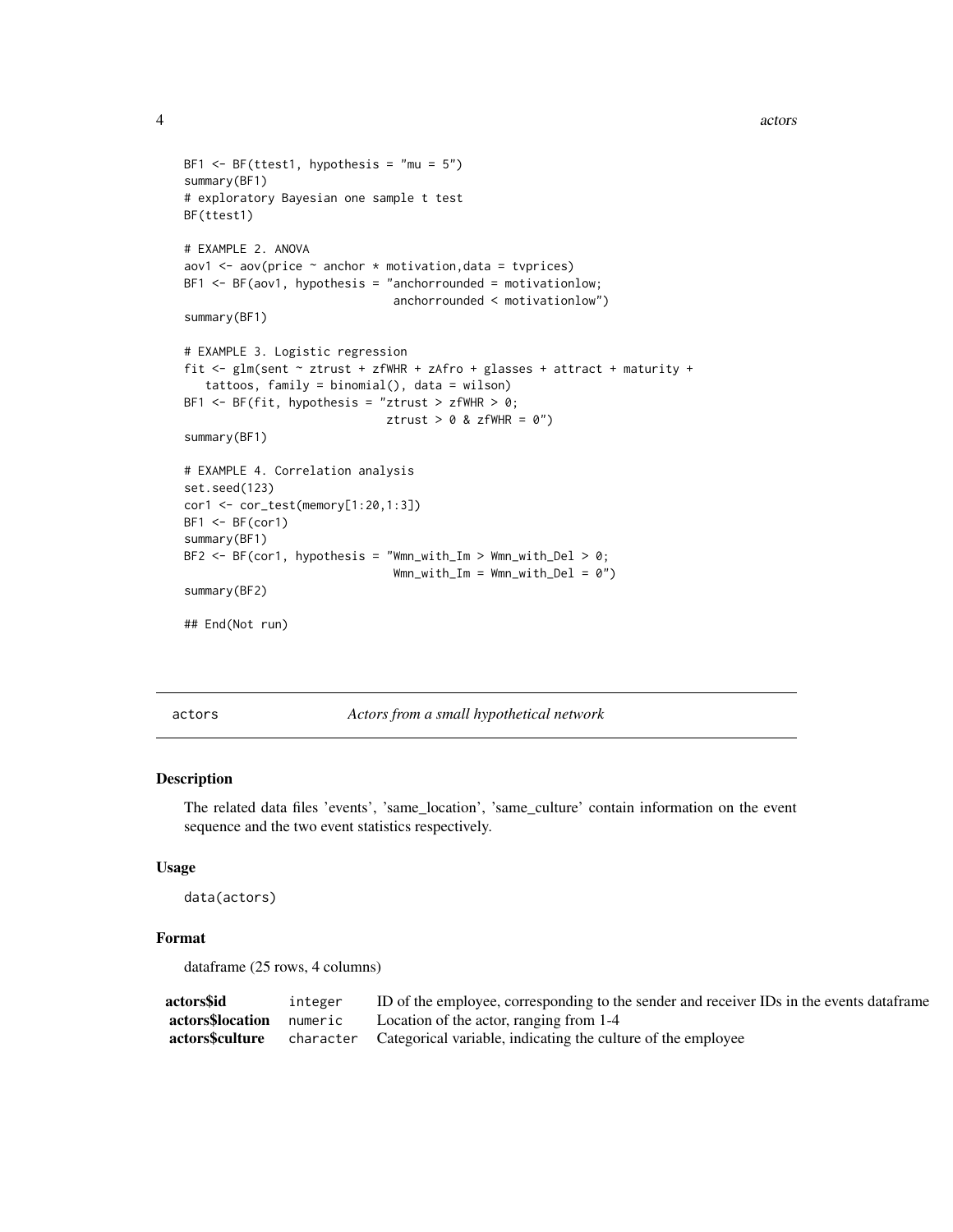```
4 actors and \alpha actors are \alpha actors and \alpha actors are \alpha actors and \alpha actors are \alpha actors and \alpha
```

```
BF1 \leq BF(ttest1, hypothesis = "mu = 5")
summary(BF1)
# exploratory Bayesian one sample t test
BF(ttest1)
# EXAMPLE 2. ANOVA
aov1 \leq aov(price \sim anchor * motivation, data = tvprices)
BF1 < -BF(aov1, hypothesis = "anchorrounded = motivationlow;
                              anchorrounded < motivationlow")
summary(BF1)
# EXAMPLE 3. Logistic regression
fit <- glm(sent ~ ztrust + zfWHR + zAfro + glasses + attract + maturity +
   tattoos, family = binomial(), data = wilson)
BF1 <- BF(fit, hypothesis = "ztrust > zfWHR > 0;
                             ztrust > 0 & zfWHR = 0")
summary(BF1)
# EXAMPLE 4. Correlation analysis
set.seed(123)
cor1 <- cor_test(memory[1:20,1:3])
BF1 < -BF(cor1)summary(BF1)
BF2 \leq BF(cor1, hypothesis = "Wmn_with_Im > Wmn_with_Del > 0;
                              Wmn_with\_Im = Wmn_with\_Del = 0")summary(BF2)
## End(Not run)
```
actors *Actors from a small hypothetical network*

# Description

The related data files 'events', 'same\_location', 'same\_culture' contain information on the event sequence and the two event statistics respectively.

#### Usage

data(actors)

#### Format

dataframe (25 rows, 4 columns)

| actors\$id                      | integer | ID of the employee, corresponding to the sender and receiver IDs in the events data frame |
|---------------------------------|---------|-------------------------------------------------------------------------------------------|
| <b>actors\$location</b> numeric |         | Location of the actor, ranging from 1-4                                                   |
| actors\$culture                 |         | character Categorical variable, indicating the culture of the employee                    |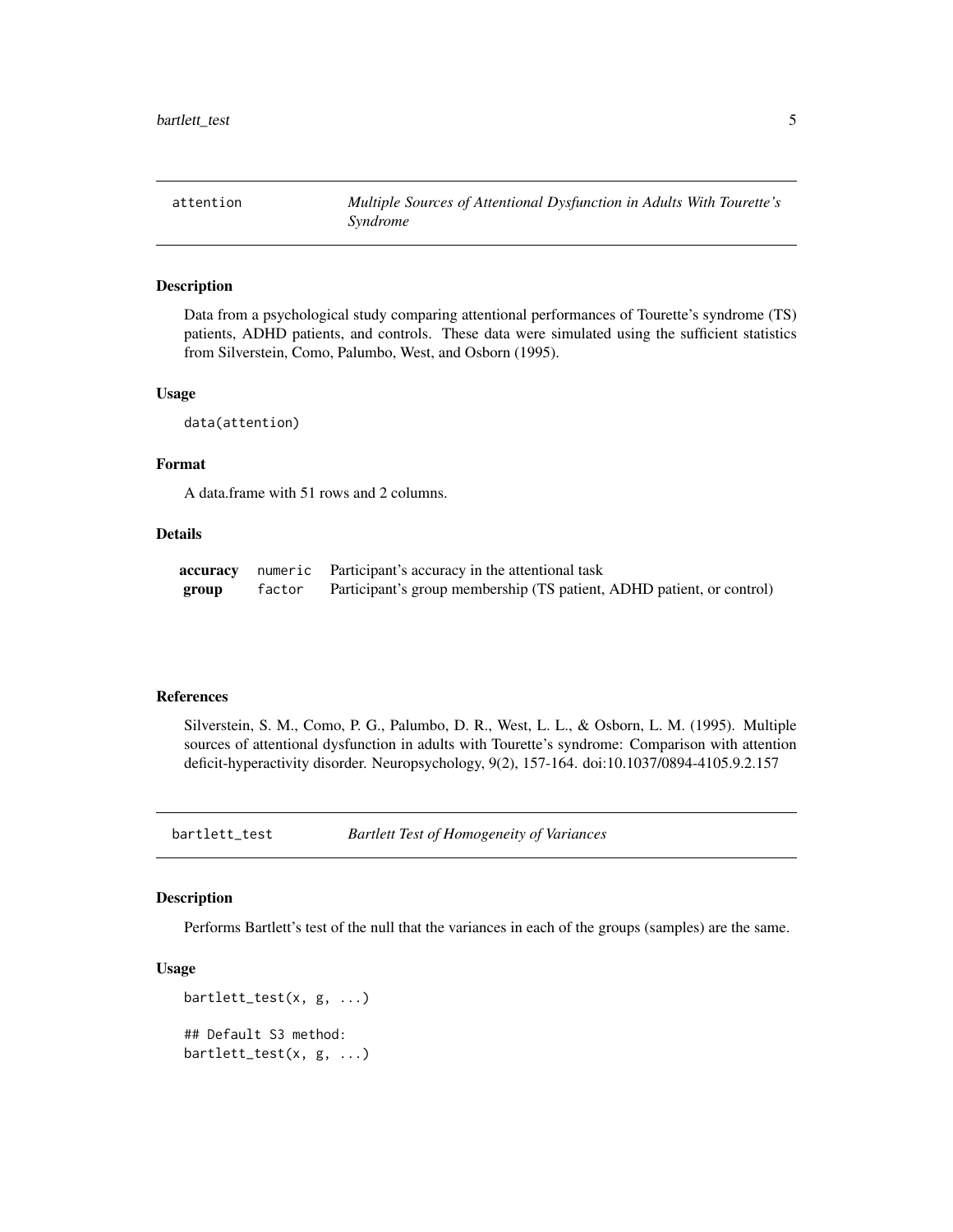<span id="page-4-0"></span>attention *Multiple Sources of Attentional Dysfunction in Adults With Tourette's Syndrome*

#### Description

Data from a psychological study comparing attentional performances of Tourette's syndrome (TS) patients, ADHD patients, and controls. These data were simulated using the sufficient statistics from Silverstein, Como, Palumbo, West, and Osborn (1995).

#### Usage

data(attention)

#### Format

A data.frame with 51 rows and 2 columns.

#### Details

|       |        | <b>accuracy</b> numeric Participant's accuracy in the attentional task |
|-------|--------|------------------------------------------------------------------------|
| group | factor | Participant's group membership (TS patient, ADHD patient, or control)  |

#### References

Silverstein, S. M., Como, P. G., Palumbo, D. R., West, L. L., & Osborn, L. M. (1995). Multiple sources of attentional dysfunction in adults with Tourette's syndrome: Comparison with attention deficit-hyperactivity disorder. Neuropsychology, 9(2), 157-164. doi:10.1037/0894-4105.9.2.157

<span id="page-4-1"></span>bartlett\_test *Bartlett Test of Homogeneity of Variances*

# Description

Performs Bartlett's test of the null that the variances in each of the groups (samples) are the same.

#### Usage

```
bartlett_test(x, g, ...)
## Default S3 method:
bartlett_test(x, g, ...)
```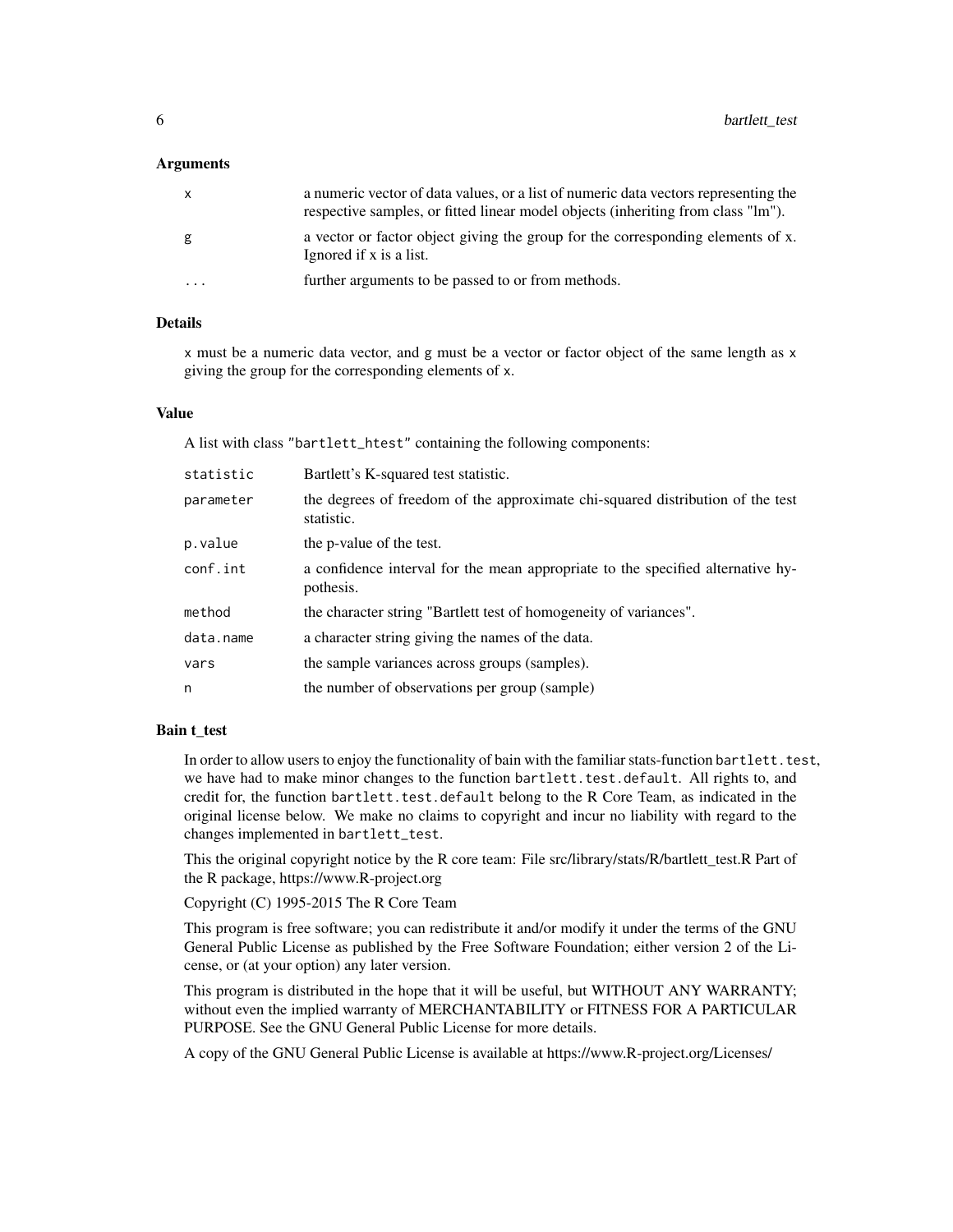#### **Arguments**

|         | a numeric vector of data values, or a list of numeric data vectors representing the<br>respective samples, or fitted linear model objects (inheriting from class "lm"). |
|---------|-------------------------------------------------------------------------------------------------------------------------------------------------------------------------|
| g       | a vector or factor object giving the group for the corresponding elements of x.<br>Ignored if x is a list.                                                              |
| $\cdot$ | further arguments to be passed to or from methods.                                                                                                                      |

#### Details

x must be a numeric data vector, and g must be a vector or factor object of the same length as x giving the group for the corresponding elements of x.

#### Value

A list with class "bartlett\_htest" containing the following components:

| statistic | Bartlett's K-squared test statistic.                                                         |
|-----------|----------------------------------------------------------------------------------------------|
| parameter | the degrees of freedom of the approximate chi-squared distribution of the test<br>statistic. |
| p.value   | the p-value of the test.                                                                     |
| conf.int  | a confidence interval for the mean appropriate to the specified alternative hy-<br>pothesis. |
| method    | the character string "Bartlett test of homogeneity of variances".                            |
| data.name | a character string giving the names of the data.                                             |
| vars      | the sample variances across groups (samples).                                                |
| n         | the number of observations per group (sample)                                                |

#### Bain t\_test

In order to allow users to enjoy the functionality of bain with the familiar stats-function bartlett.test, we have had to make minor changes to the function bartlett.test.default. All rights to, and credit for, the function bartlett.test.default belong to the R Core Team, as indicated in the original license below. We make no claims to copyright and incur no liability with regard to the changes implemented in bartlett\_test.

This the original copyright notice by the R core team: File src/library/stats/R/bartlett\_test.R Part of the R package, https://www.R-project.org

Copyright (C) 1995-2015 The R Core Team

This program is free software; you can redistribute it and/or modify it under the terms of the GNU General Public License as published by the Free Software Foundation; either version 2 of the License, or (at your option) any later version.

This program is distributed in the hope that it will be useful, but WITHOUT ANY WARRANTY; without even the implied warranty of MERCHANTABILITY or FITNESS FOR A PARTICULAR PURPOSE. See the GNU General Public License for more details.

A copy of the GNU General Public License is available at https://www.R-project.org/Licenses/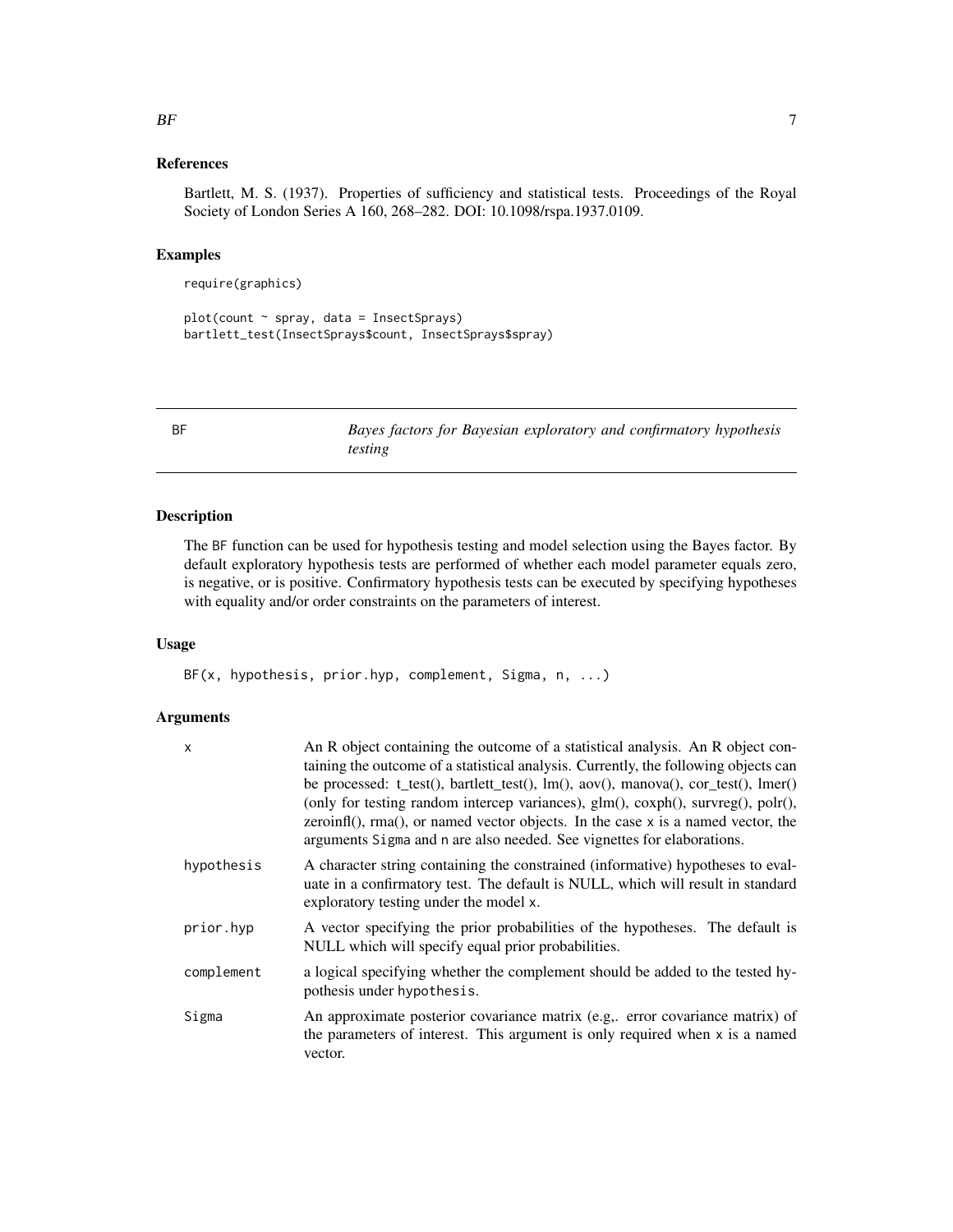#### <span id="page-6-0"></span>References

Bartlett, M. S. (1937). Properties of sufficiency and statistical tests. Proceedings of the Royal Society of London Series A 160, 268–282. DOI: 10.1098/rspa.1937.0109.

# Examples

require(graphics)

```
plot(count ~ spray, data = InsectSprays)
bartlett_test(InsectSprays$count, InsectSprays$spray)
```
BF *Bayes factors for Bayesian exploratory and confirmatory hypothesis testing*

# Description

The BF function can be used for hypothesis testing and model selection using the Bayes factor. By default exploratory hypothesis tests are performed of whether each model parameter equals zero, is negative, or is positive. Confirmatory hypothesis tests can be executed by specifying hypotheses with equality and/or order constraints on the parameters of interest.

#### Usage

BF(x, hypothesis, prior.hyp, complement, Sigma, n, ...)

### Arguments

| X          | An R object containing the outcome of a statistical analysis. An R object con-<br>taining the outcome of a statistical analysis. Currently, the following objects can<br>be processed: $t_{test}()$ , bartlett_test $()$ , lm $()$ , aov $()$ , manova $()$ , cor_test $()$ , lmer $()$<br>(only for testing random intercep variances), glm(), coxph(), survreg(), polr(),<br>$zeroinfl($ ), $rma()$ , or named vector objects. In the case $x$ is a named vector, the<br>arguments Sigma and n are also needed. See vignettes for elaborations. |
|------------|---------------------------------------------------------------------------------------------------------------------------------------------------------------------------------------------------------------------------------------------------------------------------------------------------------------------------------------------------------------------------------------------------------------------------------------------------------------------------------------------------------------------------------------------------|
| hypothesis | A character string containing the constrained (informative) hypotheses to eval-<br>uate in a confirmatory test. The default is NULL, which will result in standard<br>exploratory testing under the model x.                                                                                                                                                                                                                                                                                                                                      |
| prior.hyp  | A vector specifying the prior probabilities of the hypotheses. The default is<br>NULL which will specify equal prior probabilities.                                                                                                                                                                                                                                                                                                                                                                                                               |
| complement | a logical specifying whether the complement should be added to the tested hy-<br>pothesis under hypothesis.                                                                                                                                                                                                                                                                                                                                                                                                                                       |
| Sigma      | An approximate posterior covariance matrix (e.g., error covariance matrix) of<br>the parameters of interest. This argument is only required when x is a named<br>vector.                                                                                                                                                                                                                                                                                                                                                                          |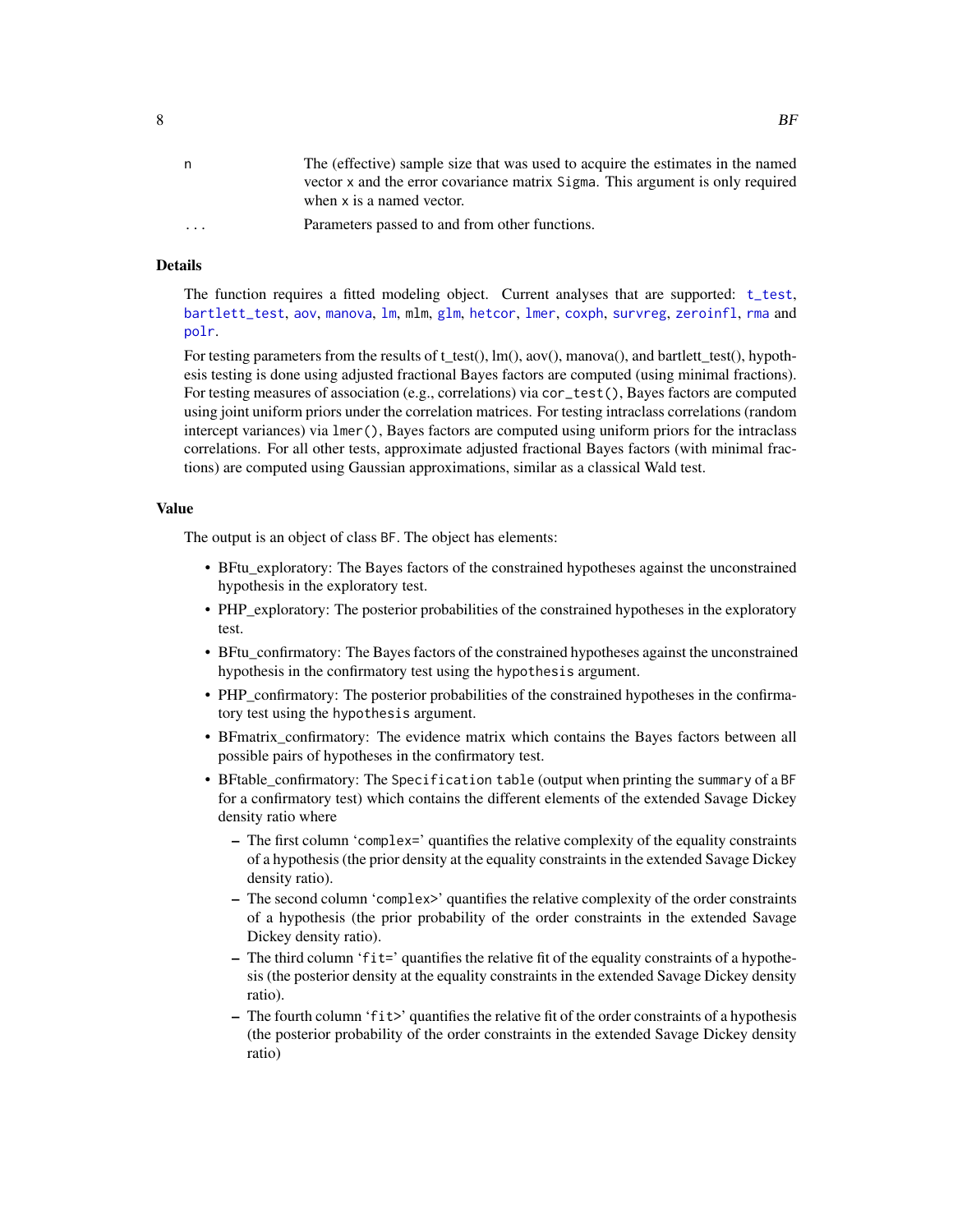<span id="page-7-0"></span>

| n        | The (effective) sample size that was used to acquire the estimates in the named<br>vector x and the error covariance matrix Sigma. This argument is only required<br>when x is a named vector. |
|----------|------------------------------------------------------------------------------------------------------------------------------------------------------------------------------------------------|
| $\cdots$ | Parameters passed to and from other functions.                                                                                                                                                 |

# Details

The function requires a fitted modeling object. Current analyses that are supported: [t\\_test](#page-0-0), [bartlett\\_test](#page-4-1), [aov](#page-0-0), [manova](#page-0-0), [lm](#page-0-0), mlm, [glm](#page-0-0), [hetcor](#page-0-0), [lmer](#page-0-0), [coxph](#page-0-0), [survreg](#page-0-0), [zeroinfl](#page-0-0), [rma](#page-0-0) and [polr](#page-0-0).

For testing parameters from the results of t\_test(), lm(), aov(), manova(), and bartlett\_test(), hypothesis testing is done using adjusted fractional Bayes factors are computed (using minimal fractions). For testing measures of association (e.g., correlations) via cor\_test(), Bayes factors are computed using joint uniform priors under the correlation matrices. For testing intraclass correlations (random intercept variances) via lmer(), Bayes factors are computed using uniform priors for the intraclass correlations. For all other tests, approximate adjusted fractional Bayes factors (with minimal fractions) are computed using Gaussian approximations, similar as a classical Wald test.

#### Value

The output is an object of class BF. The object has elements:

- BFtu\_exploratory: The Bayes factors of the constrained hypotheses against the unconstrained hypothesis in the exploratory test.
- PHP\_exploratory: The posterior probabilities of the constrained hypotheses in the exploratory test.
- BFtu confirmatory: The Bayes factors of the constrained hypotheses against the unconstrained hypothesis in the confirmatory test using the hypothesis argument.
- PHP\_confirmatory: The posterior probabilities of the constrained hypotheses in the confirmatory test using the hypothesis argument.
- BFmatrix\_confirmatory: The evidence matrix which contains the Bayes factors between all possible pairs of hypotheses in the confirmatory test.
- BFtable\_confirmatory: The Specification table (output when printing the summary of a BF for a confirmatory test) which contains the different elements of the extended Savage Dickey density ratio where
	- The first column 'complex=' quantifies the relative complexity of the equality constraints of a hypothesis (the prior density at the equality constraints in the extended Savage Dickey density ratio).
	- The second column 'complex>' quantifies the relative complexity of the order constraints of a hypothesis (the prior probability of the order constraints in the extended Savage Dickey density ratio).
	- The third column 'fit=' quantifies the relative fit of the equality constraints of a hypothesis (the posterior density at the equality constraints in the extended Savage Dickey density ratio).
	- The fourth column 'fit>' quantifies the relative fit of the order constraints of a hypothesis (the posterior probability of the order constraints in the extended Savage Dickey density ratio)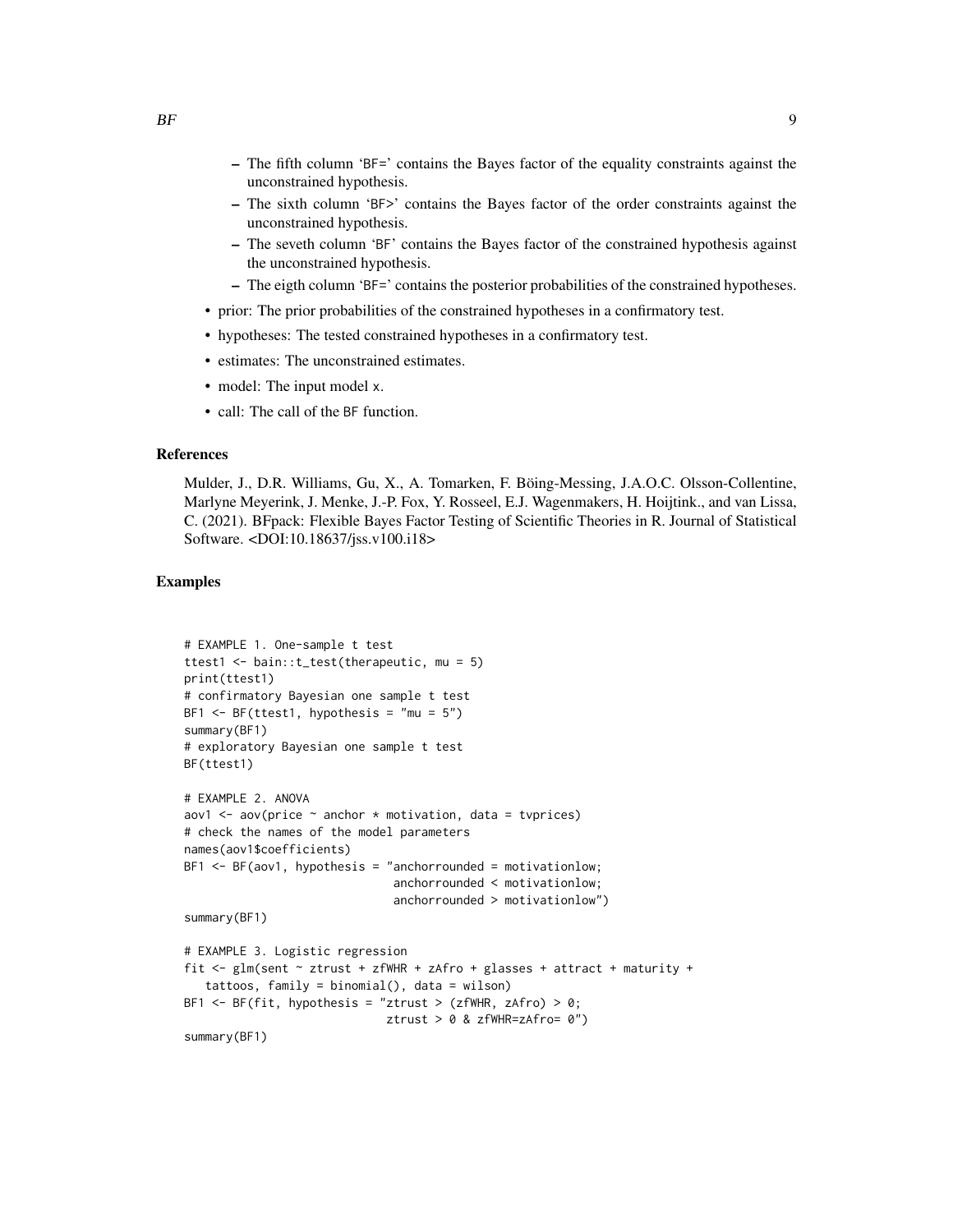- The sixth column 'BF>' contains the Bayes factor of the order constraints against the unconstrained hypothesis.
- The seveth column 'BF' contains the Bayes factor of the constrained hypothesis against the unconstrained hypothesis.
- The eigth column 'BF=' contains the posterior probabilities of the constrained hypotheses.
- prior: The prior probabilities of the constrained hypotheses in a confirmatory test.
- hypotheses: The tested constrained hypotheses in a confirmatory test.
- estimates: The unconstrained estimates.
- model: The input model x.
- call: The call of the BF function.

#### References

Mulder, J., D.R. Williams, Gu, X., A. Tomarken, F. Böing-Messing, J.A.O.C. Olsson-Collentine, Marlyne Meyerink, J. Menke, J.-P. Fox, Y. Rosseel, E.J. Wagenmakers, H. Hoijtink., and van Lissa, C. (2021). BFpack: Flexible Bayes Factor Testing of Scientific Theories in R. Journal of Statistical Software. <DOI:10.18637/jss.v100.i18>

#### Examples

```
# EXAMPLE 1. One-sample t test
ttest1 <- bain::t_test(therapeutic, mu = 5)
print(ttest1)
# confirmatory Bayesian one sample t test
BF1 \leq BF(ttest1, hypothesis = "mu = 5")
summary(BF1)
# exploratory Bayesian one sample t test
BF(ttest1)
# EXAMPLE 2. ANOVA
aov1 \leq aov(price \sim anchor \star motivation, data = tvprices)
# check the names of the model parameters
names(aov1$coefficients)
BF1 <- BF(aov1, hypothesis = "anchorrounded = motivationlow;
                              anchorrounded < motivationlow;
                              anchorrounded > motivationlow")
summary(BF1)
# EXAMPLE 3. Logistic regression
fit <- glm(sent ~ ztrust + zfWHR + zAfro + glasses + attract + maturity +
   tattoos, family = binomial(), data = wilson)
BF1 \leq BF(fit, hypothesis = "ztrust > (zfWHR, zAfro) > 0;
                             ztrust > 0 & zfWHR=zAfro= 0")
summary(BF1)
```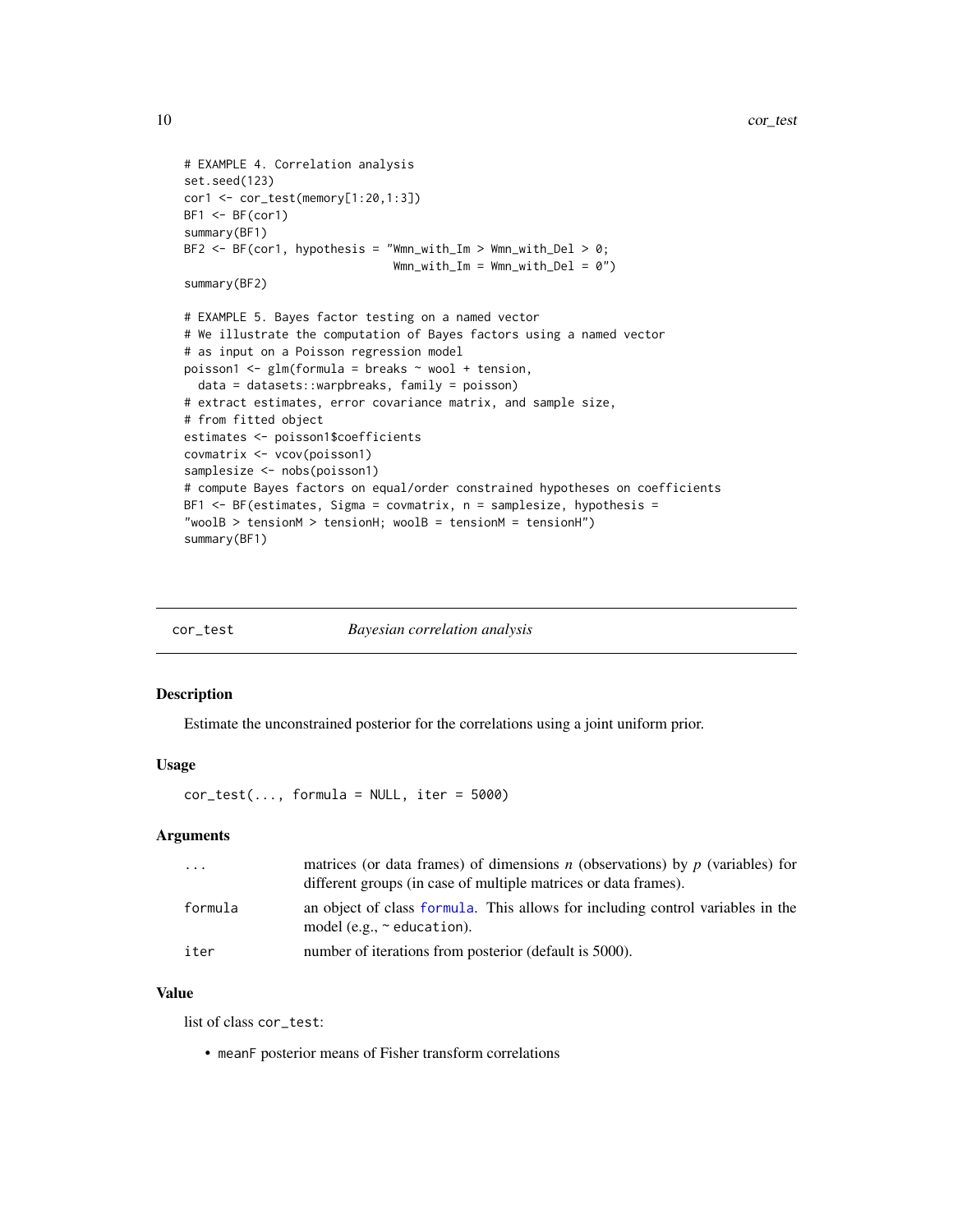```
# EXAMPLE 4. Correlation analysis
set.seed(123)
cor1 <- cor_test(memory[1:20,1:3])
BF1 < -BF(cor1)summary(BF1)
BF2 \leq -BF(cor1, hypothesis = "Wmn_with\_Im > Wmn_with\_Del > 0;Wmn_with_Im = Wmn_with_Del = 0")summary(BF2)
# EXAMPLE 5. Bayes factor testing on a named vector
# We illustrate the computation of Bayes factors using a named vector
# as input on a Poisson regression model
poisson1 \leq glm(formula = breaks \sim wool + tension,
  data = datasets::warpbreaks, family = poisson)
# extract estimates, error covariance matrix, and sample size,
# from fitted object
estimates <- poisson1$coefficients
covmatrix <- vcov(poisson1)
samplesize <- nobs(poisson1)
# compute Bayes factors on equal/order constrained hypotheses on coefficients
BF1 <- BF(estimates, Sigma = covmatrix, n = samplesize, hypothesis =
"woolB > tensionM > tensionH; woolB = tensionM = tensionH")
summary(BF1)
```

| cor_test | <i>Bayesian correlation analysis</i> |
|----------|--------------------------------------|
|          |                                      |

#### Description

Estimate the unconstrained posterior for the correlations using a joint uniform prior.

#### Usage

 $cor\_test(..., formula = NULL, iter = 5000)$ 

#### Arguments

| $\cdots$ | matrices (or data frames) of dimensions <i>n</i> (observations) by <i>p</i> (variables) for<br>different groups (in case of multiple matrices or data frames). |
|----------|----------------------------------------------------------------------------------------------------------------------------------------------------------------|
| formula  | an object of class formula. This allows for including control variables in the<br>model (e.g., $\sim$ education).                                              |
| iter     | number of iterations from posterior (default is 5000).                                                                                                         |

#### Value

list of class cor\_test:

• meanF posterior means of Fisher transform correlations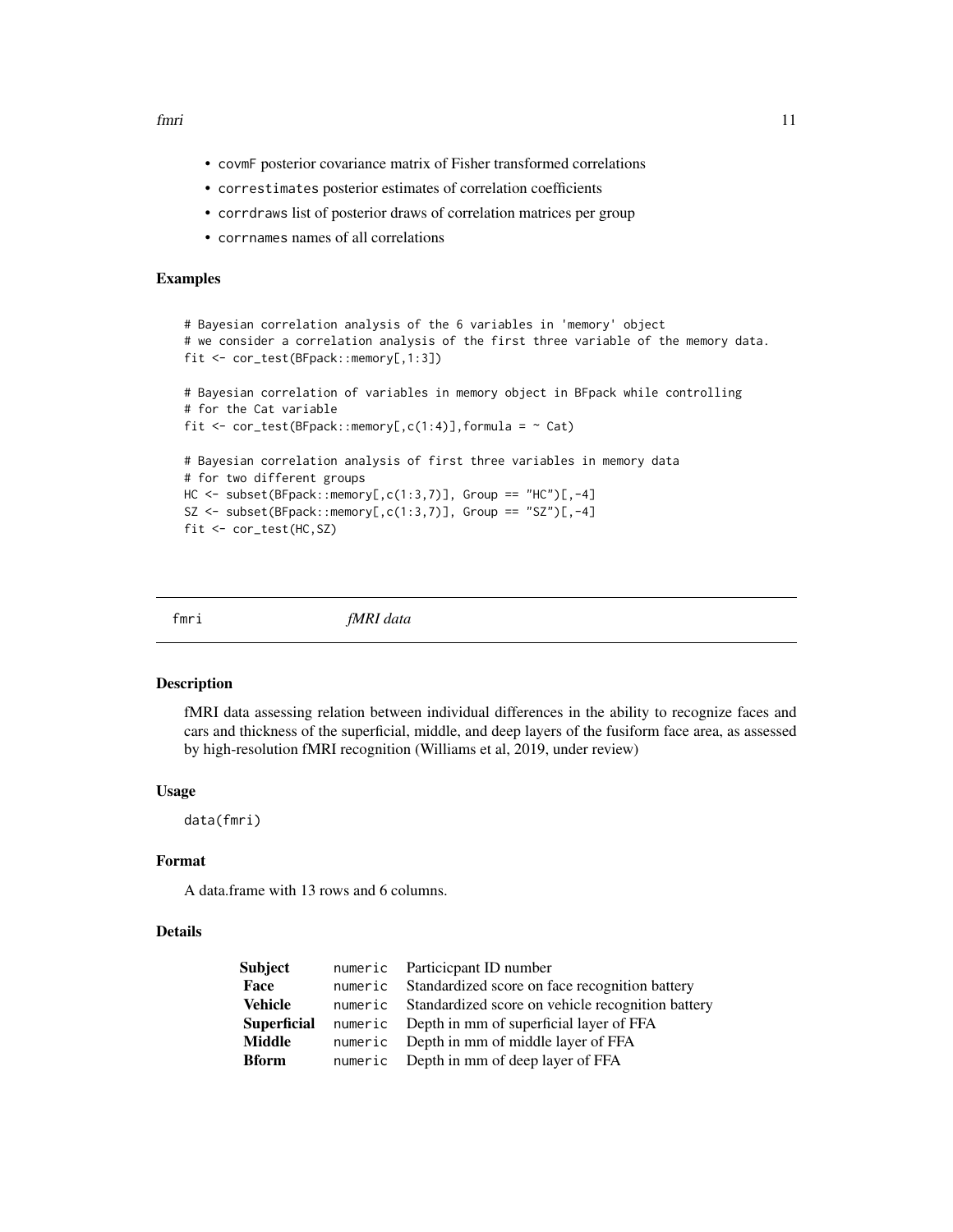<span id="page-10-0"></span>fmri 11

- covmF posterior covariance matrix of Fisher transformed correlations
- correstimates posterior estimates of correlation coefficients
- corrdraws list of posterior draws of correlation matrices per group
- corrnames names of all correlations

#### Examples

```
# Bayesian correlation analysis of the 6 variables in 'memory' object
# we consider a correlation analysis of the first three variable of the memory data.
fit <- cor_test(BFpack::memory[,1:3])
# Bayesian correlation of variables in memory object in BFpack while controlling
# for the Cat variable
fit \le cor_test(BFpack::memory[,c(1:4)],formula = \sim Cat)
# Bayesian correlation analysis of first three variables in memory data
# for two different groups
HC <- subset(BFpack::memory[,c(1:3,7)], Group == "HC")[,-4]
SZ <- subset(BFpack::memory[,c(1:3,7)], Group == "SZ")[,-4]
fit <- cor_test(HC,SZ)
```
fmri *fMRI data*

#### **Description**

fMRI data assessing relation between individual differences in the ability to recognize faces and cars and thickness of the superficial, middle, and deep layers of the fusiform face area, as assessed by high-resolution fMRI recognition (Williams et al, 2019, under review)

#### Usage

data(fmri)

#### Format

A data.frame with 13 rows and 6 columns.

# Details

| numeric Particicpant ID number                            |
|-----------------------------------------------------------|
| numeric Standardized score on face recognition battery    |
| numeric Standardized score on vehicle recognition battery |
| numeric Depth in mm of superficial layer of FFA           |
| numeric Depth in mm of middle layer of FFA                |
| numeric Depth in mm of deep layer of FFA                  |
|                                                           |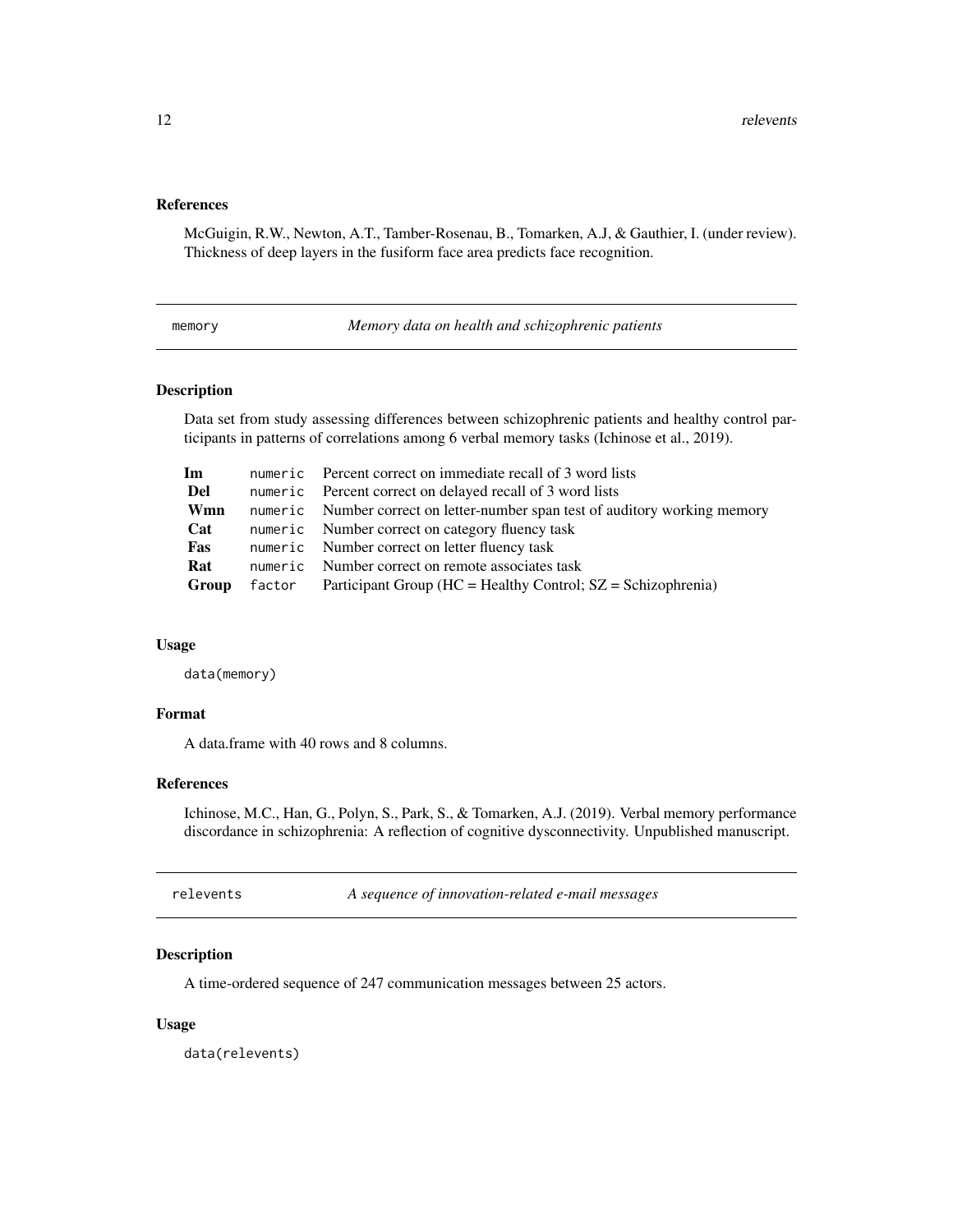#### <span id="page-11-0"></span>References

McGuigin, R.W., Newton, A.T., Tamber-Rosenau, B., Tomarken, A.J, & Gauthier, I. (under review). Thickness of deep layers in the fusiform face area predicts face recognition.

memory *Memory data on health and schizophrenic patients*

#### Description

Data set from study assessing differences between schizophrenic patients and healthy control participants in patterns of correlations among 6 verbal memory tasks (Ichinose et al., 2019).

| Im    | numeric Percent correct on immediate recall of 3 word lists                  |
|-------|------------------------------------------------------------------------------|
| Del   | numeric Percent correct on delayed recall of 3 word lists                    |
| Wmn   | numeric Number correct on letter-number span test of auditory working memory |
| Cat   | numeric Number correct on category fluency task                              |
| Fas   | numeric Number correct on letter fluency task                                |
| Rat   | numeric Number correct on remote associates task                             |
| Group | $factor$ Participant Group (HC = Healthy Control; $SZ = Schizophrenia$ )     |

#### Usage

data(memory)

#### Format

A data.frame with 40 rows and 8 columns.

#### References

Ichinose, M.C., Han, G., Polyn, S., Park, S., & Tomarken, A.J. (2019). Verbal memory performance discordance in schizophrenia: A reflection of cognitive dysconnectivity. Unpublished manuscript.

| relevents |  |
|-----------|--|
|           |  |

relevents *A sequence of innovation-related e-mail messages*

# Description

A time-ordered sequence of 247 communication messages between 25 actors.

#### Usage

data(relevents)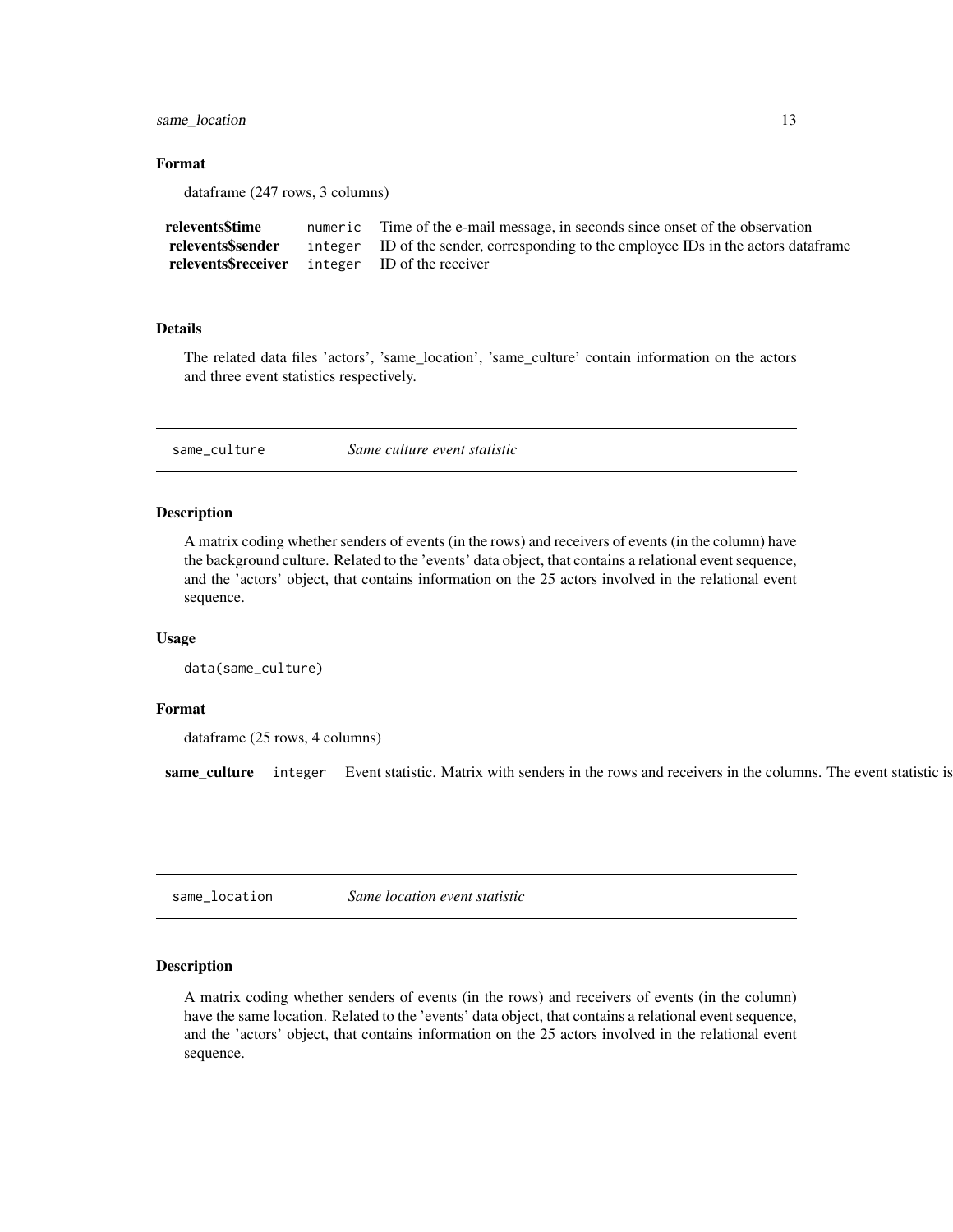<span id="page-12-0"></span>same\_location 13

# Format

dataframe (247 rows, 3 columns)

| relevents\$time                                       | numeric Time of the e-mail message, in seconds since onset of the observation        |
|-------------------------------------------------------|--------------------------------------------------------------------------------------|
| relevents\$sender                                     | integer ID of the sender, corresponding to the employee IDs in the actors data frame |
| <b>relevents Speceiver</b> integer ID of the receiver |                                                                                      |

#### Details

The related data files 'actors', 'same\_location', 'same\_culture' contain information on the actors and three event statistics respectively.

same\_culture *Same culture event statistic*

#### Description

A matrix coding whether senders of events (in the rows) and receivers of events (in the column) have the background culture. Related to the 'events' data object, that contains a relational event sequence, and the 'actors' object, that contains information on the 25 actors involved in the relational event sequence.

#### Usage

```
data(same_culture)
```
#### Format

dataframe (25 rows, 4 columns)

same\_culture integer Event statistic. Matrix with senders in the rows and receivers in the columns. The event statistic is

same\_location *Same location event statistic*

# Description

A matrix coding whether senders of events (in the rows) and receivers of events (in the column) have the same location. Related to the 'events' data object, that contains a relational event sequence, and the 'actors' object, that contains information on the 25 actors involved in the relational event sequence.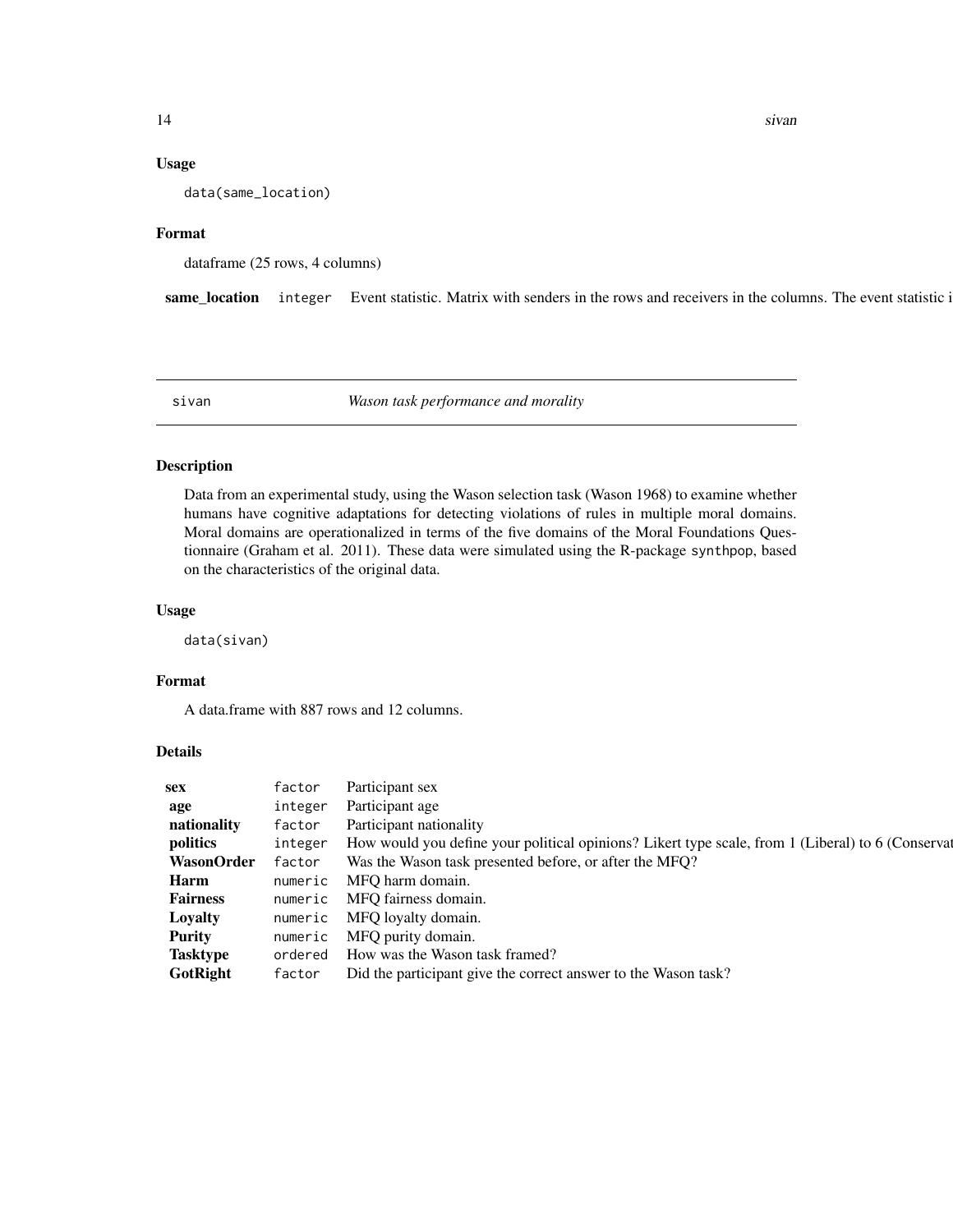#### Usage

data(same\_location)

#### Format

dataframe (25 rows, 4 columns)

same\_location integer Event statistic. Matrix with senders in the rows and receivers in the columns. The event statistic i

sivan *Wason task performance and morality*

#### Description

Data from an experimental study, using the Wason selection task (Wason 1968) to examine whether humans have cognitive adaptations for detecting violations of rules in multiple moral domains. Moral domains are operationalized in terms of the five domains of the Moral Foundations Questionnaire (Graham et al. 2011). These data were simulated using the R-package synthpop, based on the characteristics of the original data.

#### Usage

data(sivan)

#### Format

A data.frame with 887 rows and 12 columns.

#### Details

| sex               | factor  | Participant sex                                                                                   |
|-------------------|---------|---------------------------------------------------------------------------------------------------|
| age               | integer | Participant age                                                                                   |
| nationality       | factor  | Participant nationality                                                                           |
| politics          | integer | How would you define your political opinions? Likert type scale, from 1 (Liberal) to 6 (Conserval |
| <b>WasonOrder</b> | factor  | Was the Wason task presented before, or after the MFQ?                                            |
| Harm              | numeric | MFO harm domain.                                                                                  |
| <b>Fairness</b>   | numeric | MFO fairness domain.                                                                              |
| Loyalty           | numeric | MFO loyalty domain.                                                                               |
| <b>Purity</b>     | numeric | MFO purity domain.                                                                                |
| <b>Tasktype</b>   | ordered | How was the Wason task framed?                                                                    |
| GotRight          | factor  | Did the participant give the correct answer to the Wason task?                                    |

<span id="page-13-0"></span>14 sivan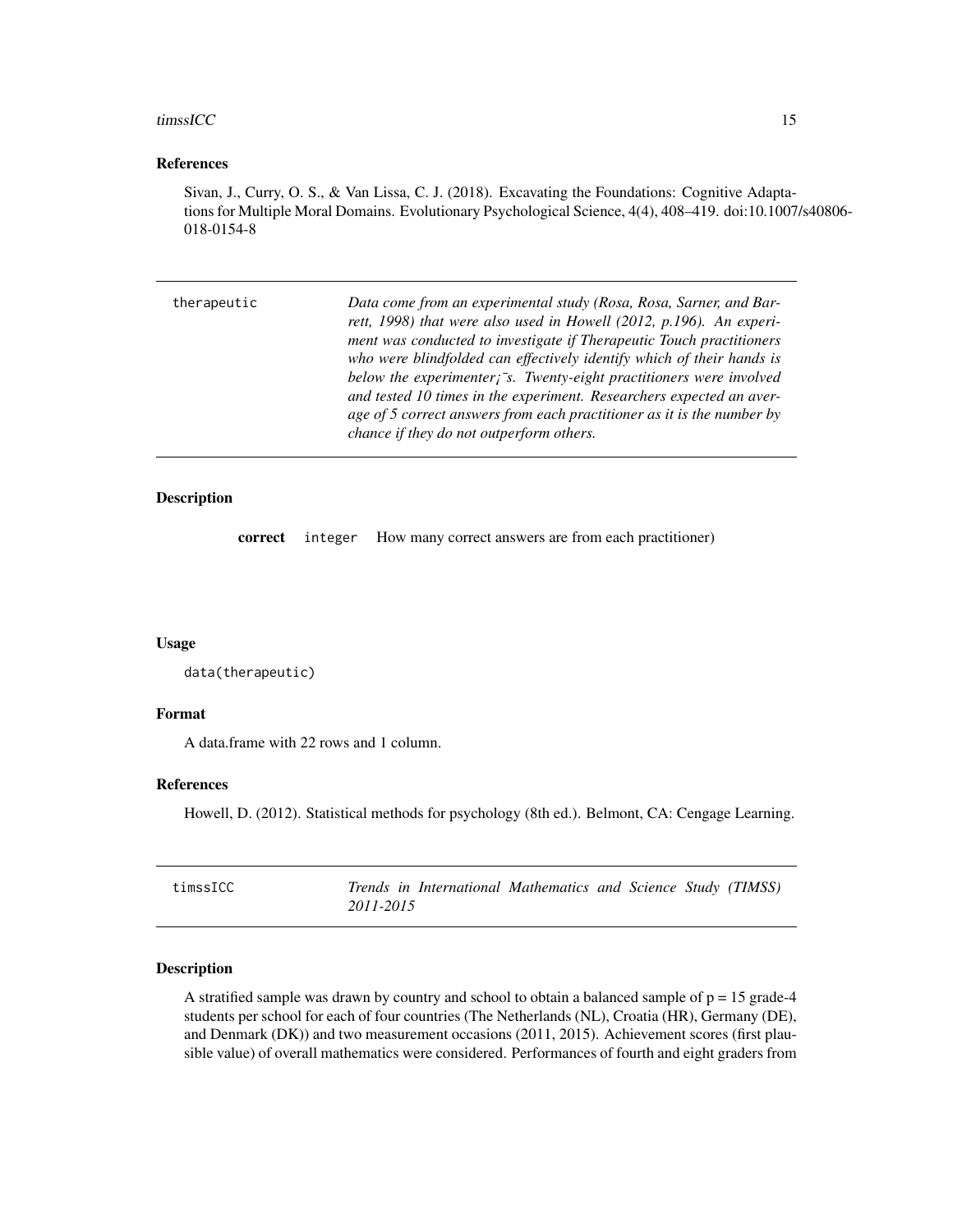#### <span id="page-14-0"></span>timssICC and the state of the state of the state of the state of the state of the state of the state of the state of the state of the state of the state of the state of the state of the state of the state of the state of t

#### References

Sivan, J., Curry, O. S., & Van Lissa, C. J. (2018). Excavating the Foundations: Cognitive Adaptations for Multiple Moral Domains. Evolutionary Psychological Science, 4(4), 408–419. doi:10.1007/s40806- 018-0154-8

| Data come from an experimental study (Rosa, Rosa, Sarner, and Bar-          |
|-----------------------------------------------------------------------------|
| rett, 1998) that were also used in Howell (2012, p.196). An experi-         |
| ment was conducted to investigate if Therapeutic Touch practitioners        |
| who were blindfolded can effectively identify which of their hands is       |
| below the experimenter $\bar{z}$ . Twenty-eight practitioners were involved |
| and tested 10 times in the experiment. Researchers expected an aver-        |
| age of 5 correct answers from each practitioner as it is the number by      |
| chance if they do not outperform others.                                    |
|                                                                             |

# Description

correct integer How many correct answers are from each practitioner)

#### Usage

```
data(therapeutic)
```
#### Format

A data.frame with 22 rows and 1 column.

#### References

Howell, D. (2012). Statistical methods for psychology (8th ed.). Belmont, CA: Cengage Learning.

| timssICC |           | Trends in International Mathematics and Science Study (TIMSS) |  |  |  |
|----------|-----------|---------------------------------------------------------------|--|--|--|
|          | 2011-2015 |                                                               |  |  |  |

### Description

A stratified sample was drawn by country and school to obtain a balanced sample of  $p = 15$  grade-4 students per school for each of four countries (The Netherlands (NL), Croatia (HR), Germany (DE), and Denmark (DK)) and two measurement occasions (2011, 2015). Achievement scores (first plausible value) of overall mathematics were considered. Performances of fourth and eight graders from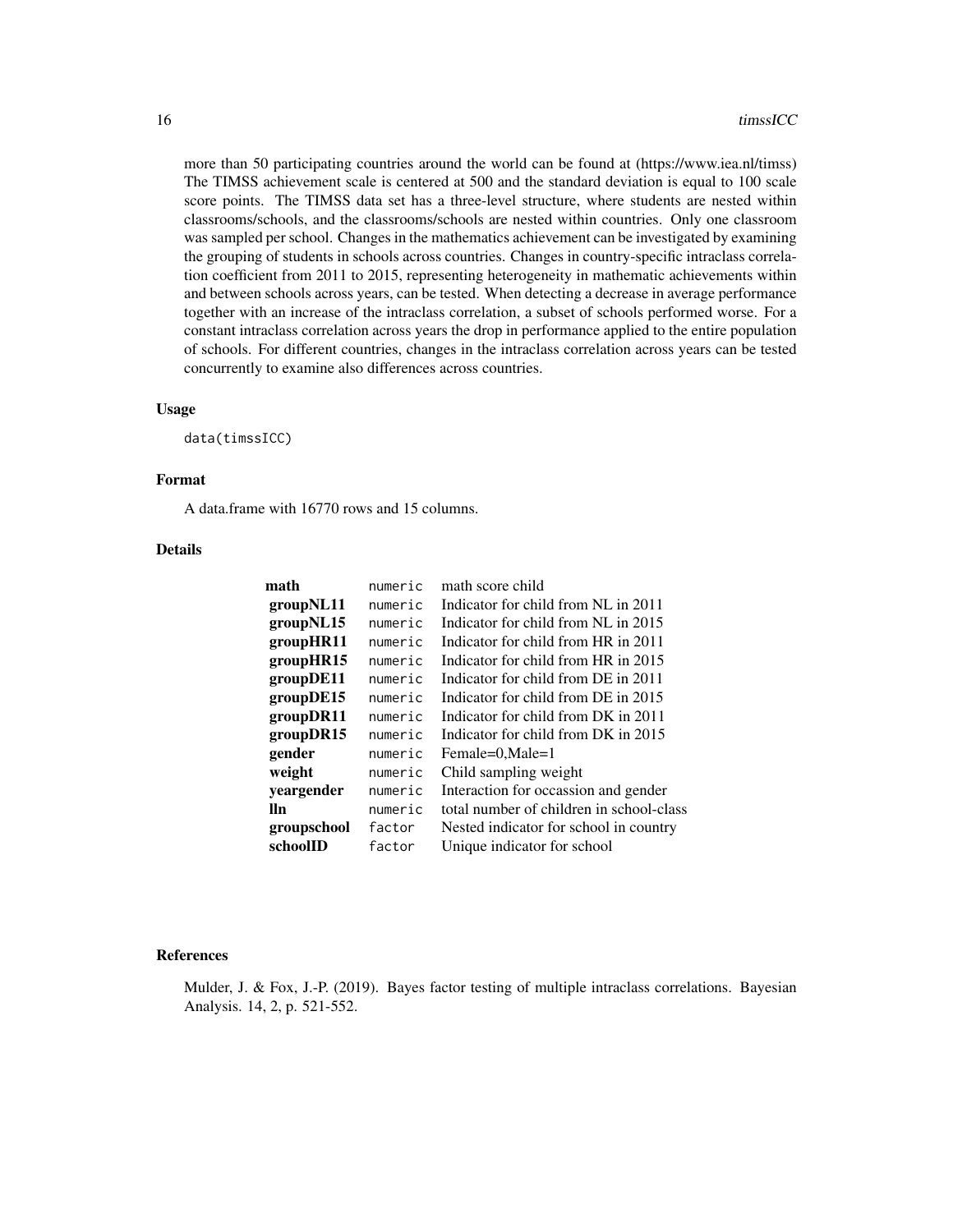more than 50 participating countries around the world can be found at (https://www.iea.nl/timss) The TIMSS achievement scale is centered at 500 and the standard deviation is equal to 100 scale score points. The TIMSS data set has a three-level structure, where students are nested within classrooms/schools, and the classrooms/schools are nested within countries. Only one classroom was sampled per school. Changes in the mathematics achievement can be investigated by examining the grouping of students in schools across countries. Changes in country-specific intraclass correlation coefficient from 2011 to 2015, representing heterogeneity in mathematic achievements within and between schools across years, can be tested. When detecting a decrease in average performance together with an increase of the intraclass correlation, a subset of schools performed worse. For a constant intraclass correlation across years the drop in performance applied to the entire population of schools. For different countries, changes in the intraclass correlation across years can be tested concurrently to examine also differences across countries.

#### Usage

data(timssICC)

# Format

A data.frame with 16770 rows and 15 columns.

#### Details

| math        | numeric | math score child                         |
|-------------|---------|------------------------------------------|
| groupNL11   | numeric | Indicator for child from NL in 2011      |
| groupNL15   | numeric | Indicator for child from NL in 2015      |
| groupHR11   | numeric | Indicator for child from HR in 2011      |
| groupHR15   | numeric | Indicator for child from HR in 2015      |
| groupDE11   | numeric | Indicator for child from DE in 2011      |
| groupDE15   | numeric | Indicator for child from DE in 2015      |
| groupDR11   | numeric | Indicator for child from DK in 2011      |
| groupDR15   | numeric | Indicator for child from DK in 2015      |
| gender      | numeric | Female=0,Male=1                          |
| weight      | numeric | Child sampling weight                    |
| yeargender  | numeric | Interaction for occassion and gender     |
| lln         | numeric | total number of children in school-class |
| groupschool | factor  | Nested indicator for school in country   |
| schoolID    | factor  | Unique indicator for school              |

#### References

Mulder, J. & Fox, J.-P. (2019). Bayes factor testing of multiple intraclass correlations. Bayesian Analysis. 14, 2, p. 521-552.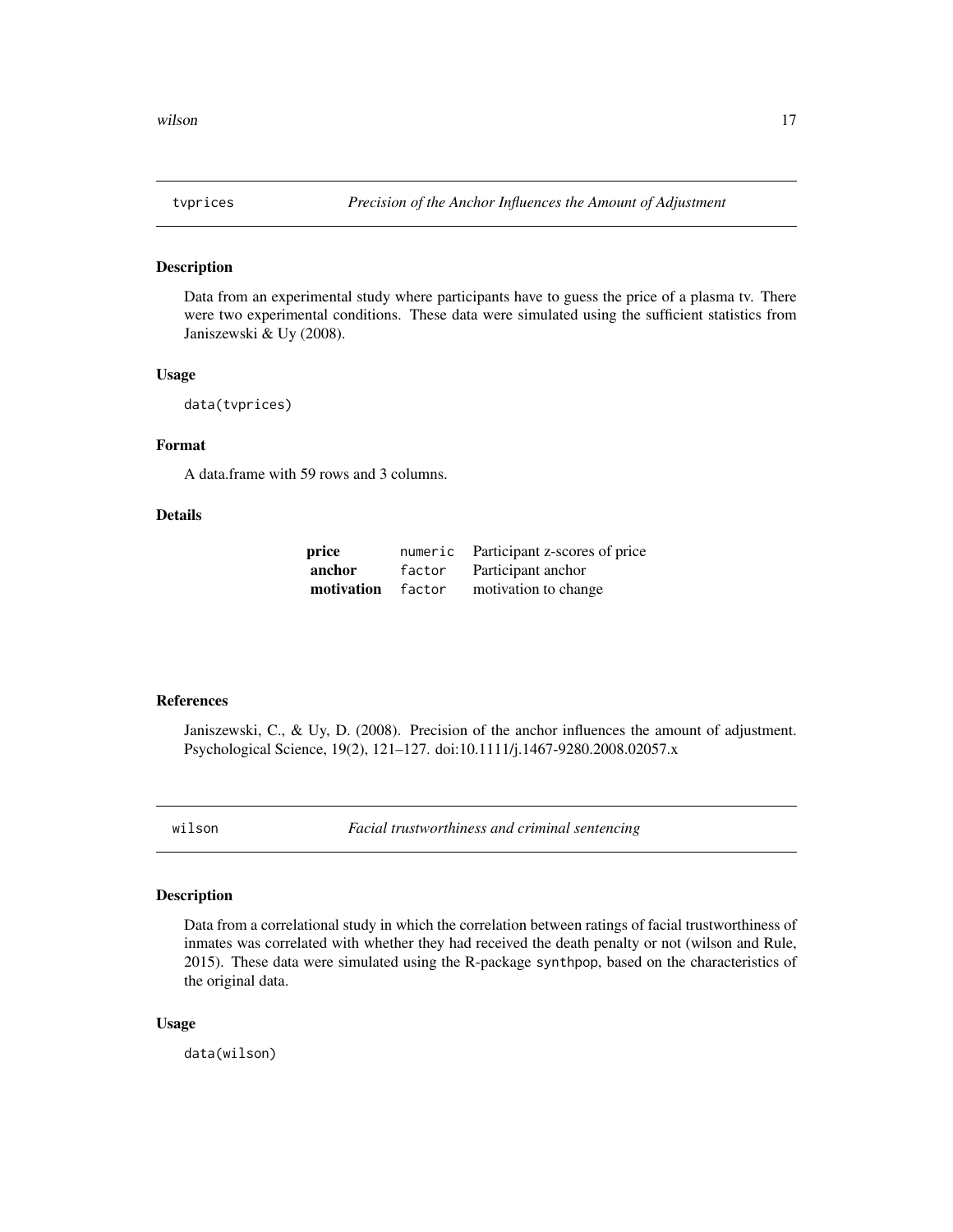<span id="page-16-0"></span>

#### Description

Data from an experimental study where participants have to guess the price of a plasma tv. There were two experimental conditions. These data were simulated using the sufficient statistics from Janiszewski & Uy (2008).

# Usage

```
data(tvprices)
```
# Format

A data.frame with 59 rows and 3 columns.

# Details

| price      | numeric | Participant z-scores of price |
|------------|---------|-------------------------------|
| anchor     | factor  | Participant anchor            |
| motivation | factor  | motivation to change          |

## References

Janiszewski, C., & Uy, D. (2008). Precision of the anchor influences the amount of adjustment. Psychological Science, 19(2), 121–127. doi:10.1111/j.1467-9280.2008.02057.x

wilson *Facial trustworthiness and criminal sentencing*

#### Description

Data from a correlational study in which the correlation between ratings of facial trustworthiness of inmates was correlated with whether they had received the death penalty or not (wilson and Rule, 2015). These data were simulated using the R-package synthpop, based on the characteristics of the original data.

#### Usage

data(wilson)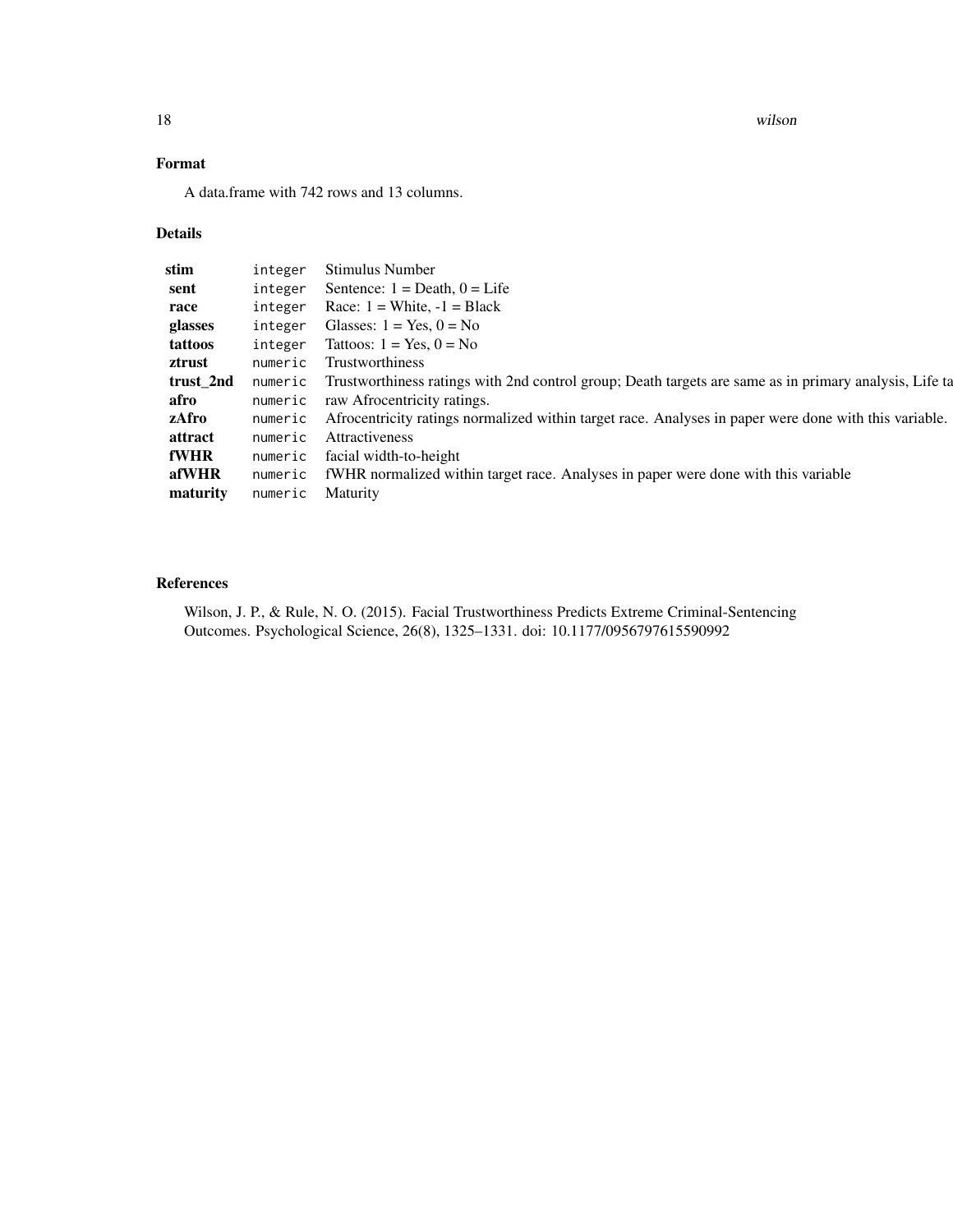18 wilson

# Format

A data.frame with 742 rows and 13 columns.

# Details

| stim      | integer | Stimulus Number                                                                                        |
|-----------|---------|--------------------------------------------------------------------------------------------------------|
| sent      | integer | Sentence: $1 = \text{Death}$ , $0 = \text{Life}$                                                       |
| race      | integer | Race: $1 =$ White, $-1 =$ Black                                                                        |
| glasses   | integer | Glasses: $1 = Yes$ , $0 = No$                                                                          |
| tattoos   | integer | Tattoos: $1 = Yes$ , $0 = No$                                                                          |
| ztrust    | numeric | Trustworthiness                                                                                        |
| trust_2nd | numeric | Trustworthiness ratings with 2nd control group; Death targets are same as in primary analysis, Life ta |
| afro      | numeric | raw Afrocentricity ratings.                                                                            |
| zAfro     | numeric | Afrocentricity ratings normalized within target race. Analyses in paper were done with this variable.  |
| attract   | numeric | Attractiveness                                                                                         |
| fWHR      | numeric | facial width-to-height                                                                                 |
| afWHR     | numeric | fWHR normalized within target race. Analyses in paper were done with this variable                     |
| maturity  | numeric | <b>Maturity</b>                                                                                        |
|           |         |                                                                                                        |

# References

Wilson, J. P., & Rule, N. O. (2015). Facial Trustworthiness Predicts Extreme Criminal-Sentencing Outcomes. Psychological Science, 26(8), 1325–1331. doi: 10.1177/0956797615590992